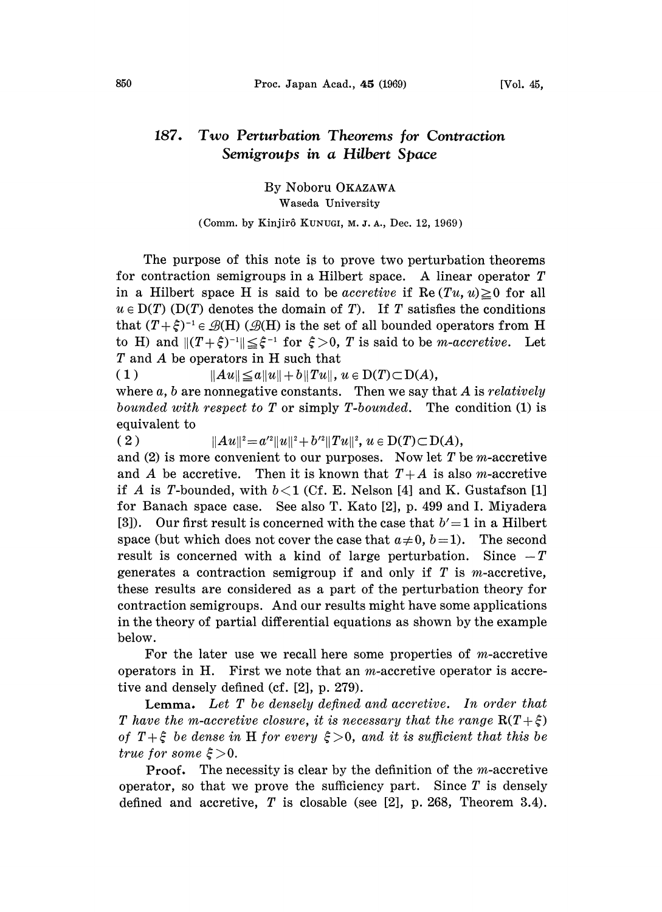## 187. Two Perturbation Theorems for Contraction Semigroups in a Hilbert Space

By Noboru OKAZAWA

## Waseda University

## (Comm. by Kinjirô KUNUGI, M. J. A., Dec. 12, 1969)

The purpose of this note is to prove two perturbation theorems for contraction semigroups in <sup>a</sup> Hilbert space. A linear operator T in a Hilbert space H is said to be *accretive* if  $\text{Re} (Tu, u) \geq 0$  for all  $u \in D(T)$  (D(T) denotes the domain of T). If T satisfies the conditions that  $(T + \xi)^{-1} \in \mathcal{B}(H)$  ( $\mathcal{B}(H)$  is the set of all bounded operators from H to H) and  $||(T+\hat{\xi})^{-1}|| \leq \hat{\xi}^{-1}$  for  $\xi > 0$ , T is said to be *m*-accretive. Let T and A be operators in H such that T and A be operators in H such that

( 1 )  $\|Au\| \le a\|u\|+b\|Tu\|$ ,  $u \in D(T) \subset D(A)$ ,

where  $a, b$  are nonnegative constants. Then we say that A is relatively bounded with respect to  $T$  or simply  $T$ -bounded. The condition  $(1)$  is equivalent to

(2)  $\|Au\|^2 = a'^2 \|u\|^2 + b'^2 \|Tu\|^2$ ,  $u \in D(T) \subset D(A)$ ,

and (2) is more convenient to our purposes. Now let  $T$  be *m*-accretive and A be accretive. Then it is known that  $T+A$  is also m-accretive if A is T-bounded, with  $b < 1$  (Cf. E. Nelson [4] and K. Gustafson [1] for Banach space case. See also T. Kato [2], p. 499 and I. Miyadera [3]). Our first result is concerned with the case that  $b'=1$  in a Hilbert space (but which does not cover the case that  $a\neq 0$ ,  $b=1$ ). The second result is concerned with a kind of large perturbation. Since  $-T$ generates a contraction semigroup if and only if  $T$  is *m*-accretive, these results are considered as a part of the perturbation theory for contraction semigroups. And our results might have some applications in the theory of partial differential equations as shown by the example below.

For the later use we recall here some properties of  $m$ -accretive operators in H. First we note that an  $m$ -accretive operator is accretive and densely defined (cf. [2], p. 279).

Lemma. Let T be densely defined and accretive. In order that T have the m-accretive closure, it is necessary that the range  $R(T+\xi)$ of  $T+\xi$  be dense in H for every  $\xi>0$ , and it is sufficient that this be true for some  $\xi > 0$ .

**Proof.** The necessity is clear by the definition of the *m*-accretive operator, so that we prove the sufficiency part. Since  $T$  is densely defined and accretive,  $T$  is closable (see [2], p. 268, Theorem 3.4).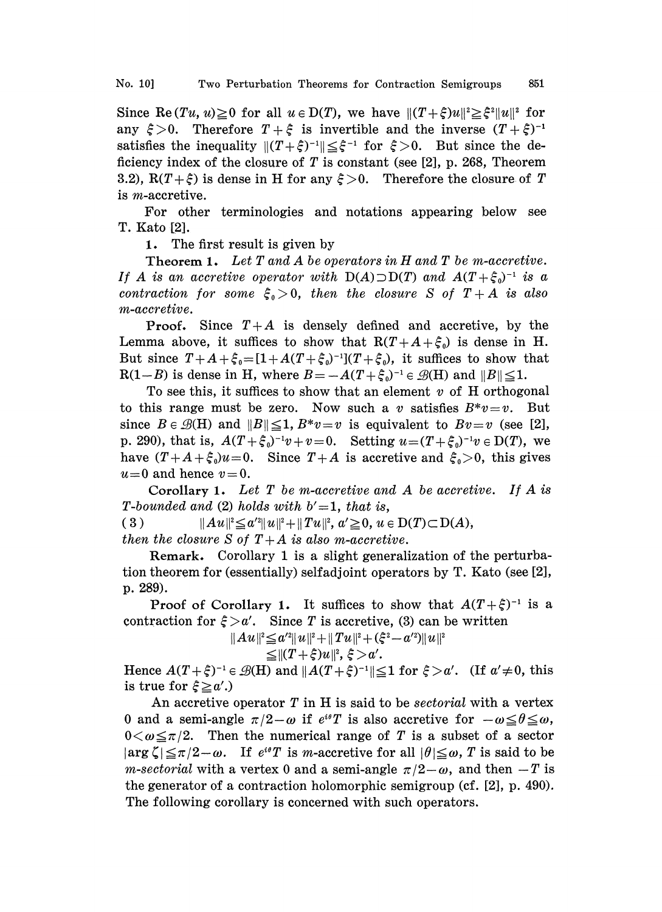Since Re(Tu, u)  $\geq 0$  for all  $u \in D(T)$ , we have  $|| (T + \xi)u||^2 \geq \xi^2 ||u||^2$  for any  $\xi > 0$ . Therefore  $T + \xi$  is invertible and the inverse  $(T + \xi)^{-1}$ satisfies the inequality  $||(T+\xi)^{-1}|| \leq \xi^{-1}$  for  $\xi > 0$ . But since the deficiency index of the closure of T is constant (see [2], p. 268, Theorem ficiency index of the closure of T is constant (see  $[2]$ , p. 268, Theorem 3.2),  $R(T+\xi)$  is dense in H for any  $\xi>0$ . Therefore the closure of T is m-accretive.

For other terminologies and notations appearing below see T. Kato [2].

1. The first result is given by

**Theorem 1.** Let  $T$  and  $A$  be operators in  $H$  and  $T$  be m-accretive. If A is an accretive operator with  $D(A) \supset D(T)$  and  $A(T + \xi_0)^{-1}$  is a contraction for some  $\xi_0>0$ , then the closure S of  $T+A$  is also m-accretive.

**Proof.** Since  $T+A$  is densely defined and accretive, by the Lemma above, it suffices to show that  $R(T+A+\xi_0)$  is dense in H. But since  $T + A + \xi_0 = [1 + A(T + \xi_0)^{-1}](T + \xi_0)$ , it suffices to show that  $R(1-B)$  is dense in H, where  $B=-A(T+\xi_0)^{-1} \in \mathcal{B}(H)$  and  $||B|| \leq 1$ .

To see this, it suffices to show that an element  $v$  of H orthogonal to this range must be zero. Now such a v satisfies  $B^*v=v$ . But since  $B \in \mathcal{B}(H)$  and  $||B|| \leq 1, B^*v=v$  is equivalent to  $Bv=v$  (see [2], p. 290), that is,  $A(T+\xi_0)^{-1}v+v=0$ . Setting  $u=(T+\xi_0)^{-1}v\in D(T)$ , we have  $(T+A+\xi_0)u=0$ . Since  $T+A$  is accretive and  $\xi_0>0$ , this gives  $u=0$  and hence  $v=0$ .

Corollary 1. Let  $T$  be m-accretive and  $A$  be accretive. If  $A$  is T-bounded and (2) holds with  $b' = 1$ , that is,

( 3 )  $\|Au\|^2 \leq a'^2 \|u\|^2 + \|Tu\|^2, \ a' \geq 0, \ u \in D(T) \subset D(A),$ then the closure S of  $T+A$  is also m-accretive.

Remark. Corollary 1 is a slight generalization of the perturbation theorem for (essentially) selfadjoint operators by T. Kato (see [2], p. 289).

Proof of Corollary 1. It suffices to show that  $A(T+\xi)^{-1}$  is a raction for  $\xi > a'$ . Since T is accretive, (3) can be written contraction for  $\xi > a'$ . Since T is accretive, (3) can be written

> $\|Au\|^2 \leq a'^2 \|u\|^2 + \|Tu\|^2 + (\xi^2 - a'^2) \|u\|^2$  $\leq$   $\|(T+\xi)u\|^2, \xi > a'.$

Hence  $A(T+\xi)^{-1} \in \mathcal{B}(H)$  and  $||A(T+\xi)^{-1}|| \leq 1$  for  $\xi > \alpha'$ . (If  $\alpha' \neq 0$ , this is true for  $\xi \geq \alpha'$ .) is true for  $\xi \ge a'$ .)

An accretive operator  $T$  in  $H$  is said to be *sectorial* with a vertex 0 and a semi-angle  $\pi/2-\omega$  if  $e^{i\theta}T$  is also accretive for  $-\omega \leq \theta \leq \omega$ ,  $0<\omega \leq \pi/2$ . Then the numerical range of T is a subset of a sector  $|\arg \zeta| \leq \pi/2-\omega$ . If  $e^{i\theta}T$  is m-accretive for all  $|\theta| \leq \omega$ , T is said to be *m-sectorial* with a vertex 0 and a semi-angle  $\pi/2-\omega$ , and then  $-T$  is the generator of a contraction holomorphic semigroup (cf. [2], p. 490). The following corollary is concerned with such operators.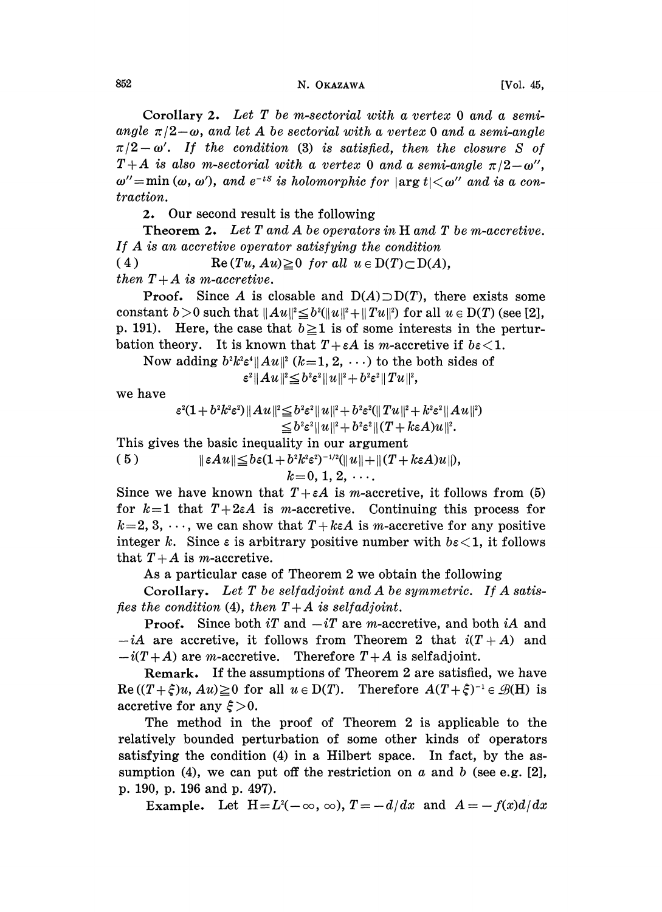Corollary 2. Let T be m-sectorial with a vertex 0 and a semiangle  $\pi/2-\omega$ , and let A be sectorial with a vertex 0 and a semi-angle  $\pi/2-\omega'$ . If the condition (3) is satisfied, then the closure S of  $T+A$  is also m-sectorial with a vertex 0 and a semi-angle  $\pi/2-\omega''$ ,  $\omega'' = min(\omega, \omega')$ , and  $e^{-is}$  is holomorphic for  $|\arg t| \leq \omega''$  and is a contraction.

2. Our second result is the following

Theorem 2. Let T and A be operators in H and T be m-accretive. If A is an accretive operator satisfying the condition (4) Re  $(Tu, Au) \ge 0$  for all  $u \in D(T) \subset D(A)$ , then  $T+A$  is m-accretive.

**Proof.** Since A is closable and  $D(A) \supset D(T)$ , there exists some constant  $b > 0$  such that  $||Au||^2 \le b^2(||u||^2 + ||Tu||^2)$  for all  $u \in D(T)$  (see [2], p. 191). Here, the case that  $b \ge 1$  is of some interests in the perturbation theory. It is known that  $T + \varepsilon A$  is *m*-accretive if  $b\varepsilon < 1$ .

Now adding  $b^2k^2\varepsilon^4\|Au\|^2$   $(k=1, 2, \ldots)$  to the both sides of  $\|\varepsilon^2\|Au\|^2 \leq b^2\varepsilon^2 \|u\|^2 + b^2\varepsilon^2 \|Tu\|^2,$ 

we have

$$
\varepsilon^2(1+b^2k^2\varepsilon^2)\|Au\|^2 \leq b^2\varepsilon^2\|u\|^2+b^2\varepsilon^2(\|Tu\|^2+k^2\varepsilon^2\|Au\|^2) \leq b^2\varepsilon^2\|u\|^2+b^2\varepsilon^2\|(T+k\varepsilon A)u\|^2.
$$

This gives the basic inequality in our argument

 $||\varepsilon Au|| \leq b\varepsilon(1+b^2k^2\varepsilon^2)^{-1/2}(||u||+||(T+k\varepsilon A)u||),$  $(5)$ 

 $k=0, 1, 2, \ldots$ 

Since we have known that  $T + \varepsilon A$  is *m*-accretive, it follows from (5) for  $k=1$  that  $T+2\varepsilon A$  is m-accretive. Continuing this process for  $k=2, 3, \dots$ , we can show that  $T+k\epsilon A$  is m-accretive for any positive integer k. Since  $\varepsilon$  is arbitrary positive number with  $b\varepsilon < 1$ , it follows that  $T+A$  is m-accretive.

As a particular case of Theorem 2 we obtain the following

Corollary. Let  $T$  be selfadjoint and  $A$  be symmetric. If  $A$  satisfies the condition (4), then  $T+A$  is selfadjoint.

**Proof.** Since both iT and  $-iT$  are m-accretive, and both iA and  $-iA$  are accretive, it follows from Theorem 2 that  $i(T+A)$  and  $-i(T+A)$  are *m*-accretive. Therefore  $T+A$  is selfadjoint.

Remark. If the assumptions of Theorem 2 are satisfied, we have  $\text{Re}\left((T+\xi)u, Au\right) \ge 0$  for all  $u \in D(T)$ . Therefore  $A(T+\xi)^{-1} \in \mathcal{B}(H)$  is accretive for any  $\xi > 0$ . accretive for any  $\xi > 0$ .

The method in the proof of Theorem 2 is applicable to the relatively bounded perturbation of some other kinds of operators satisfying the condition (4) in a Hilbert space. In fact, by the assumption (4), we can put off the restriction on a and b (see e.g. [2], p. 190, p. 196 and p. 497).

Example. Let  $H = L<sup>2</sup>(-\infty, \infty)$ ,  $T = -d/dx$  and  $A = -f(x)d/dx$